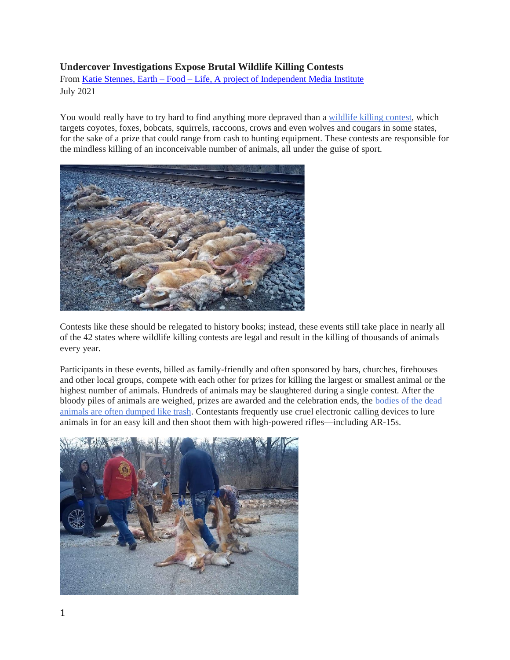## **Undercover Investigations Expose Brutal Wildlife Killing Contests**

From Katie Stennes, Earth – Food – [Life, A project of Independent Media Institute](https://independentmediainstitute.org/) July 2021

You would really have to try hard to find anything more depraved than a [wildlife killing contest,](https://www.humanesociety.org/wildlifekillingcontests) which targets coyotes, foxes, bobcats, squirrels, raccoons, crows and even wolves and cougars in some states, for the sake of a prize that could range from cash to hunting equipment. These contests are responsible for the mindless killing of an inconceivable number of animals, all under the guise of sport.



Contests like these should be relegated to history books; instead, these events still take place in nearly all of the 42 states where wildlife killing contests are legal and result in the killing of thousands of animals every year.

Participants in these events, billed as family-friendly and often sponsored by bars, churches, firehouses and other local groups, compete with each other for prizes for killing the largest or smallest animal or the highest number of animals. Hundreds of animals may be slaughtered during a single contest. After the bloody piles of animals are weighed, prizes are awarded and the celebration ends, the [bodies of the dead](https://blog.humanesociety.org/2020/03/undercover-investigation-exposes-senseless-rush-to-kill-coyotes-at-new-york-wildlife-killing-contest.html)  animals are [often dumped like trash.](https://blog.humanesociety.org/2020/03/undercover-investigation-exposes-senseless-rush-to-kill-coyotes-at-new-york-wildlife-killing-contest.html) Contestants frequently use cruel electronic calling devices to lure animals in for an easy kill and then shoot them with high-powered rifles—including AR-15s.

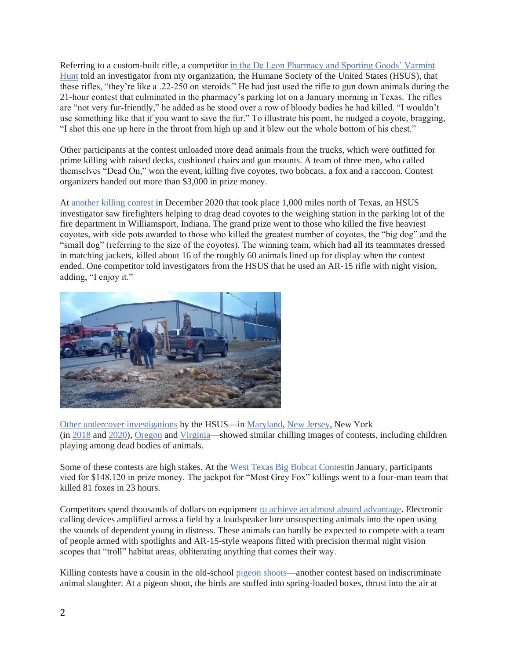Referring to a custom-built rifle, a competitor [in the De Leon Pharmacy and Sporting Goods' Varmint](https://www.humanesociety.org/news/disturbing-undercover-investigation-wildlife-killing-contest-texas-pharmacy-parking-lot)  [Hunt](https://www.humanesociety.org/news/disturbing-undercover-investigation-wildlife-killing-contest-texas-pharmacy-parking-lot) told an investigator from my organization, the Humane Society of the United States (HSUS), that these rifles, "they're like a .22-250 on steroids." He had just used the rifle to gun down animals during the 21-hour contest that culminated in the pharmacy's parking lot on a January morning in Texas. The rifles are "not very fur-friendly," he added as he stood over a row of bloody bodies he had killed. "I wouldn't use something like that if you want to save the fur." To illustrate his point, he nudged a coyote, bragging, "I shot this one up here in the throat from high up and it blew out the whole bottom of his chest."

Other participants at the contest unloaded more dead animals from the trucks, which were outfitted for prime killing with raised decks, cushioned chairs and gun mounts. A team of three men, who called themselves "Dead On," won the event, killing five coyotes, two bobcats, a fox and a raccoon. Contest organizers handed out more than \$3,000 in prize money.

At [another killing contest](https://www.humanesociety.org/news/undercover-investigation-gruesome-wildlife-killing-contest-indiana-fire-department-released) in December 2020 that took place 1,000 miles north of Texas, an HSUS investigator saw firefighters helping to drag dead coyotes to the weighing station in the parking lot of the fire department in Williamsport, Indiana. The grand prize went to those who killed the five heaviest coyotes, with side pots awarded to those who killed the greatest number of coyotes, the "big dog" and the "small dog" (referring to the size of the coyotes). The winning team, which had all its teammates dressed in matching jackets, killed about 16 of the roughly 60 animals lined up for display when the contest ended. One competitor told investigators from the HSUS that he used an AR-15 rifle with night vision, adding, "I enjoy it."



[Other undercover investigations](https://youtu.be/jumXRyrDayE) by the HSUS—in [Maryland,](https://blog.humanesociety.org/2020/02/undercover-investigation-of-maryland-wildlife-killing-contests-reveals-cruelty-indifference-to-animal-suffering.html) [New Jersey,](https://blog.humanesociety.org/2018/05/undercover-video-takes-viewers-into-grisly-world-of-wildlife-killing-contests.html) New York (in [2018](https://www.youtube.com/watch?v=-WipR9Rx0us) and [2020\)](https://blog.humanesociety.org/2020/03/undercover-investigation-exposes-senseless-rush-to-kill-coyotes-at-new-york-wildlife-killing-contest.html), [Oregon](https://blog.humanesociety.org/2019/01/undercover-investigation-exposes-grisly-cruelty-at-oregon-wildlife-killing-contest-lawmakers-move-to-ban-such-events-in-the-state.html) and [Virginia—](https://www.youtube.com/watch?v=jumXRyrDayE)showed similar chilling images of contests, including children playing among dead bodies of animals.

Some of these contests are high stakes. At the [West Texas Big Bobcat Contesti](https://www.wtbbc.org/category/results/)n January, participants vied for \$148,120 in prize money. The jackpot for "Most Grey Fox" killings went to a four-man team that killed 81 foxes in 23 hours.

Competitors spend thousands of dollars on equipment [to achieve an almost absurd advantage.](https://www.humanesociety.org/news/online-wildlife-killing-contests) Electronic calling devices amplified across a field by a loudspeaker lure unsuspecting animals into the open using the sounds of dependent young in distress. These animals can hardly be expected to compete with a team of people armed with spotlights and AR-15-style weapons fitted with precision thermal night vision scopes that "troll" habitat areas, obliterating anything that comes their way.

Killing contests have a cousin in the old-school [pigeon shoots—](https://en.wikipedia.org/wiki/Pigeon-shooting)another contest based on indiscriminate animal slaughter. At a pigeon shoot, the birds are stuffed into spring-loaded boxes, thrust into the air at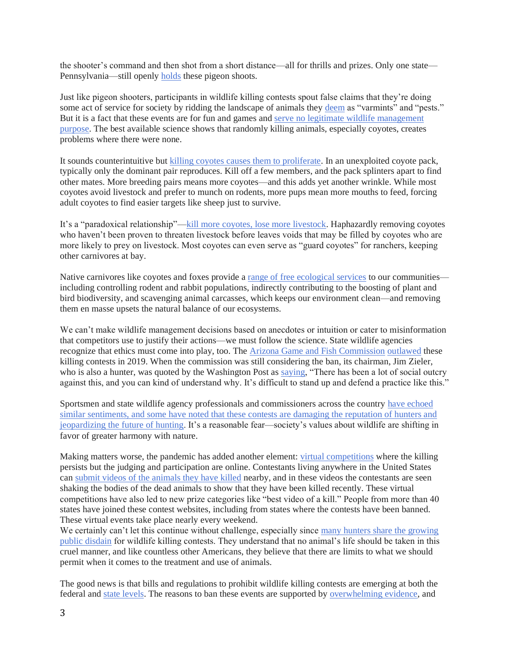the shooter's command and then shot from a short distance—all for thrills and prizes. Only one state— Pennsylvania—still openly [holds](https://www.humanesociety.org/resources/pennsylvania-pigeon-shoots) these pigeon shoots.

Just like pigeon shooters, participants in wildlife killing contests spout false claims that they're doing some act of service for society by ridding the landscape of animals they [deem](https://www.humanesociety.org/sites/default/files/docs/HSUS_Wildlife-Killing-Contests-Toolkit.pdf) as "varmints" and "pests." But it is a fact that these events are for fun and games and [serve no legitimate wildlife management](https://www.humanesociety.org/sites/default/files/docs/WKC%20FAQ.pdf)  [purpose.](https://www.humanesociety.org/sites/default/files/docs/WKC%20FAQ.pdf) The best available science shows that randomly killing animals, especially coyotes, creates problems where there were none.

It sounds counterintuitive but [killing coyotes causes them to proliferate.](https://academic.oup.com/jmammal/article/98/1/1/2977253) In an unexploited coyote pack, typically only the dominant pair reproduces. Kill off a few members, and the pack splinters apart to find other mates. More breeding pairs means more coyotes—and this adds yet another wrinkle. While most coyotes avoid livestock and prefer to munch on rodents, more pups mean more mouths to feed, forcing adult coyotes to find easier targets like sheep just to survive.

It's a "paradoxical relationship"[—kill more coyotes, lose more livestock.](https://smallfarms.oregonstate.edu/using-coyotes-protect-livestock-wait-what) Haphazardly removing coyotes who haven't been proven to threaten livestock before leaves voids that may be filled by coyotes who are more likely to prey on livestock. Most coyotes can even serve as "guard coyotes" for ranchers, keeping other carnivores at bay.

Native carnivores like coyotes and foxes provide a [range of free ecological services](https://www.humanesociety.org/sites/default/files/docs/WKC%20FAQ.pdf) to our communities including controlling rodent and rabbit populations, indirectly contributing to the boosting of plant and bird biodiversity, and scavenging animal carcasses, which keeps our environment clean—and removing them en masse upsets the natural balance of our ecosystems.

We can't make wildlife management decisions based on anecdotes or intuition or cater to misinformation that competitors use to justify their actions—we must follow the science. State wildlife agencies recognize that ethics must come into play, too. The [Arizona Game and Fish Commission](https://www.azgfd.com/agency/commission/) [outlawed](https://www.azcentral.com/story/news/local/arizona/2019/06/21/arizona-game-and-fish-commission-votes-ban-coyote-killing-competitions/1532604001/) these killing contests in 2019. When the commission was still considering the ban, its chairman, Jim Zieler, who is also a hunter, was quoted by the Washington Post as [saying,](https://www.washingtonpost.com/science/2019/05/17/predator-hunting-contests-face-bans-amid-backlash-several-states/) "There has been a lot of social outcry against this, and you can kind of understand why. It's difficult to stand up and defend a practice like this."

Sportsmen and state wildlife agency professionals and commissioners across the country [have echoed](https://www.humanesociety.org/sites/default/files/docs/HSUS_Statements-wildlife-killing-contests.pdf)  similar [sentiments, and some have noted that these contests are damaging the reputation of hunters and](https://www.humanesociety.org/sites/default/files/docs/HSUS_Statements-wildlife-killing-contests.pdf)  [jeopardizing the future of hunting.](https://www.humanesociety.org/sites/default/files/docs/HSUS_Statements-wildlife-killing-contests.pdf) It's a reasonable fear—society's values about wildlife are shifting in favor of greater harmony with nature.

Making matters worse, the pandemic has added another element: [virtual competitions](https://blog.humanesociety.org/2021/02/investigation-finds-online-wildlife-killing-contests-are-thriving-during-pandemic.html) where the killing persists but the judging and participation are online. Contestants living anywhere in the United States can [submit videos of the animals they have killed](https://www.humanesociety.org/news/online-wildlife-killing-contests) nearby, and in these videos the contestants are seen shaking the bodies of the dead animals to show that they have been killed recently. These virtual competitions have also led to new prize categories like "best video of a kill." People from more than 40 states have joined these contest websites, including from states where the contests have been banned. These virtual events take place nearly every weekend.

We certainly can't let this continue without challenge, especially since many hunters share the growing [public disdain](https://www.hcn.org/articles/hunting-faces-an-ethical-reckoning?utm_source=wcn1&utm_medium=email) for wildlife killing contests. They understand that no animal's life should be taken in this cruel manner, and like countless other Americans, they believe that there are limits to what we should permit when it comes to the treatment and use of animals.

The good news is that bills and regulations to prohibit wildlife killing contests are emerging at both the federal and [state levels.](https://www.humanesociety.org/news/ending-slaughter) The reasons to ban these events are supported by [overwhelming evidence,](https://www.humanesociety.org/wildlifekillingcontests) and